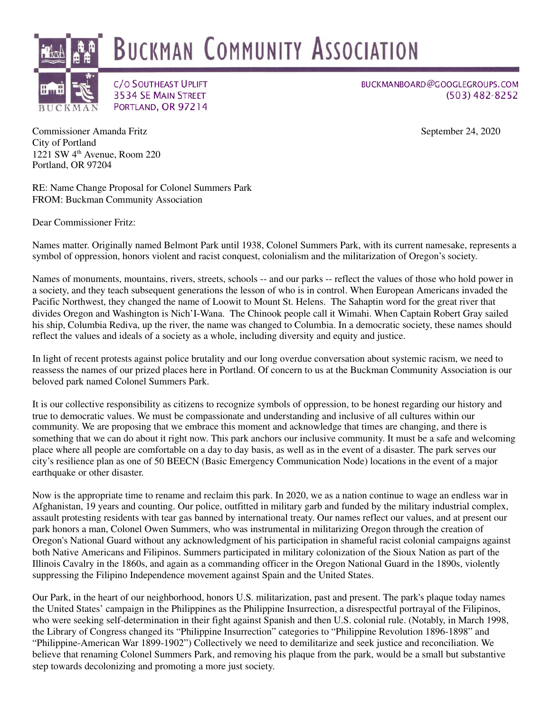

BUCKMANBOARD@GOOGLEGROUPS.COM  $(503)$  482-8252

Commissioner Amanda Fritz September 24, 2020 City of Portland 1221 SW 4th Avenue, Room 220 Portland, OR 97204

RE: Name Change Proposal for Colonel Summers Park FROM: Buckman Community Association

3534 SE MAIN STREET

PORTLAND, OR 97214

Dear Commissioner Fritz:

Names matter. Originally named Belmont Park until 1938, Colonel Summers Park, with its current namesake, represents a symbol of oppression, honors violent and racist conquest, colonialism and the militarization of Oregon's society.

Names of monuments, mountains, rivers, streets, schools -- and our parks -- reflect the values of those who hold power in a society, and they teach subsequent generations the lesson of who is in control. When European Americans invaded the Pacific Northwest, they changed the name of Loowit to Mount St. Helens. The Sahaptin word for the great river that divides Oregon and Washington is Nich'I-Wana. The Chinook people call it Wimahi. When Captain Robert Gray sailed his ship, Columbia Rediva, up the river, the name was changed to Columbia. In a democratic society, these names should reflect the values and ideals of a society as a whole, including diversity and equity and justice.

In light of recent protests against police brutality and our long overdue conversation about systemic racism, we need to reassess the names of our prized places here in Portland. Of concern to us at the Buckman Community Association is our beloved park named Colonel Summers Park.

It is our collective responsibility as citizens to recognize symbols of oppression, to be honest regarding our history and true to democratic values. We must be compassionate and understanding and inclusive of all cultures within our community. We are proposing that we embrace this moment and acknowledge that times are changing, and there is something that we can do about it right now. This park anchors our inclusive community. It must be a safe and welcoming place where all people are comfortable on a day to day basis, as well as in the event of a disaster. The park serves our city's resilience plan as one of 50 BEECN (Basic Emergency Communication Node) locations in the event of a major earthquake or other disaster.

Now is the appropriate time to rename and reclaim this park. In 2020, we as a nation continue to wage an endless war in Afghanistan, 19 years and counting. Our police, outfitted in military garb and funded by the military industrial complex, assault protesting residents with tear gas banned by international treaty. Our names reflect our values, and at present our park honors a man, Colonel Owen Summers, who was instrumental in militarizing Oregon through the creation of Oregon's National Guard without any acknowledgment of his participation in shameful racist colonial campaigns against both Native Americans and Filipinos. Summers participated in military colonization of the Sioux Nation as part of the Illinois Cavalry in the 1860s, and again as a commanding officer in the Oregon National Guard in the 1890s, violently suppressing the Filipino Independence movement against Spain and the United States.

Our Park, in the heart of our neighborhood, honors U.S. militarization, past and present. The park's plaque today names the United States' campaign in the Philippines as the Philippine Insurrection, a disrespectful portrayal of the Filipinos, who were seeking self-determination in their fight against Spanish and then U.S. colonial rule. (Notably, in March 1998, the Library of Congress changed its "Philippine Insurrection" categories to "Philippine Revolution 1896-1898" and "Philippine-American War 1899-1902") Collectively we need to demilitarize and seek justice and reconciliation. We believe that renaming Colonel Summers Park, and removing his plaque from the park, would be a small but substantive step towards decolonizing and promoting a more just society.